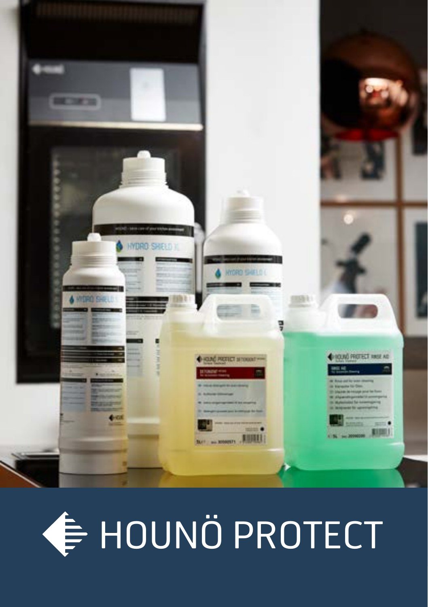

# **∉ HOUNÖ PROTECT**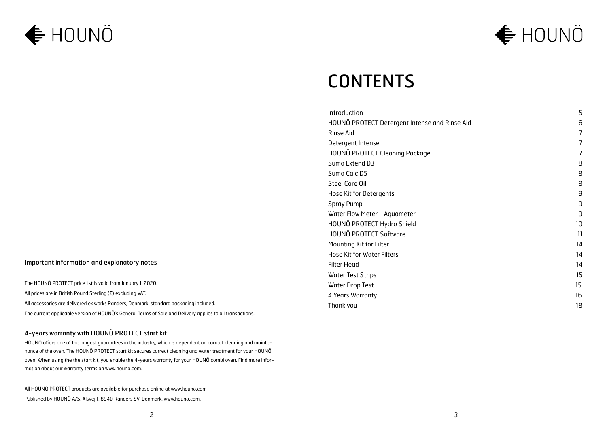## **← HOUNÖ**



## **CONTENTS**

| Introduction                                  | 5  |
|-----------------------------------------------|----|
| HOUNÖ PROTECT Detergent Intense and Rinse Aid | 6  |
| Rinse Aid                                     | 7  |
| Detergent Intense                             | 7  |
| HOUNÖ PROTECT Cleaning Package                | 7  |
| Suma Extend D3                                | 8  |
| Suma Calc D5                                  | 8  |
| Steel Care Oil                                | 8  |
| Hose Kit for Detergents                       | 9  |
| Spray Pump                                    | 9  |
| Water Flow Meter - Aquameter                  | 9  |
| HOUNÖ PROTECT Hydro Shield                    | 10 |
| HOUNÖ PROTECT Software                        | 11 |
| Mounting Kit for Filter                       | 14 |
| Hose Kit for Water Filters                    | 14 |
| <b>Filter Head</b>                            | 14 |
| <b>Water Test Strips</b>                      | 15 |
| Water Drop Test                               | 15 |
| 4 Years Warranty                              | 16 |
| Thank you                                     | 18 |

#### Important information and explanatory notes

The HOUNÖ PROTECT price list is valid from January 1, 2020. All prices are in British Pound Sterling (£) excluding VAT. All accessories are delivered ex works Randers, Denmark, standard packaging included. The current applicable version of HOUNÖ's General Terms of Sale and Delivery applies to all transactions.

#### 4-years warranty with HOUNÖ PROTECT start kit

HOUNÖ offers one of the longest guarantees in the industry, which is dependent on correct cleaning and maintenance of the oven. The HOUNÖ PROTECT start kit secures correct cleaning and water treatment for your HOUNÖ oven. When using the the start kit, you enable the 4-years warranty for your HOUNÖ combi oven. Find more information about our warranty terms on www.houno.com.

All HOUNÖ PROTECT products are available for purchase online at www.houno.com Published by HOUNÖ A/S, Alsvej 1, 8940 Randers SV, Denmark. www.houno.com.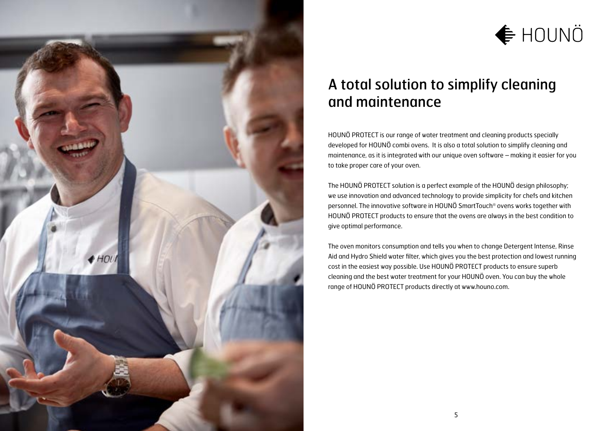

## **← HOUNÖ**

### A total solution to simplify cleaning and maintenance

HOUNÖ PROTECT is our range of water treatment and cleaning products specially developed for HOUNÖ combi ovens. It is also a total solution to simplify cleaning and maintenance, as it is integrated with our unique oven software – making it easier for you to take proper care of your oven.

The HOUNÖ PROTECT solution is a perfect example of the HOUNÖ design philosophy; we use innovation and advanced technology to provide simplicity for chefs and kitchen personnel. The innovative software in HOUNÖ SmartTouch® ovens works together with HOUNÖ PROTECT products to ensure that the ovens are always in the best condition to give optimal performance.

The oven monitors consumption and tells you when to change Detergent Intense, Rinse Aid and Hydro Shield water filter, which gives you the best protection and lowest running cost in the easiest way possible. Use HOUNÖ PROTECT products to ensure superb cleaning and the best water treatment for your HOUNÖ oven. You can buy the whole range of HOUNÖ PROTECT products directly at www.houno.com.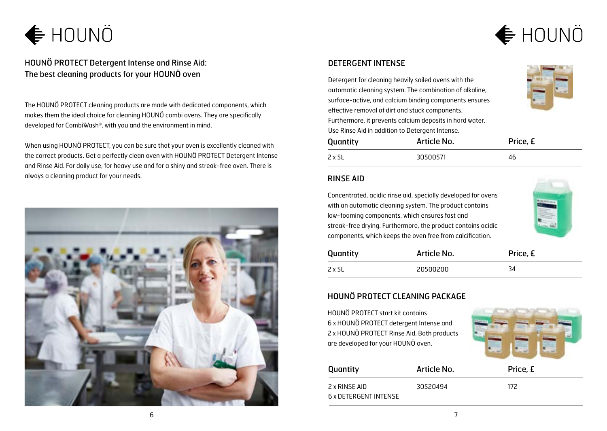

HOUNÖ PROTECT Detergent Intense and Rinse Aid: The best cleaning products for your HOUNÖ oven

The HOUNÖ PROTECT cleaning products are made with dedicated components, which makes them the ideal choice for cleaning HOUNÖ combi ovens. They are specifically developed for CombiWash®, with you and the environment in mind.

When using HOUNÖ PROTECT, you can be sure that your oven is excellently cleaned with the correct products. Get a perfectly clean oven with HOUNÖ PROTECT Detergent Intense and Rinse Aid. For daily use, for heavy use and for a shiny and streak-free oven. There is always a cleaning product for your needs.



#### DETERGENT INTENSE

Detergent for cleaning heavily soiled ovens with the automatic cleaning system. The combination of alkaline, surface-active, and calcium binding components ensures effective removal of dirt and stuck components. Furthermore, it prevents calcium deposits in hard water. Use Rinse Aid in addition to Detergent Intense.

| Quantity | Article No. | Price, £ |
|----------|-------------|----------|
| 2 x 5L   | 30500571    | 46       |

#### RINSE AID

Concentrated, acidic rinse aid, specially developed for ovens with an automatic cleaning system. The product contains low-foaming components, which ensures fast and streak-free drying. Furthermore, the product contains acidic components, which keeps the oven free from calcification.



| Quantity | Article No. | Price, £ |
|----------|-------------|----------|
| 2 x 5L   | 20500200    | 34       |

#### HOUNÖ PROTECT CLEANING PACKAGE

HOUNÖ PROTECT start kit contains 6 x HOUNÖ PROTECT detergent Intense and 2 x HOUNÖ PROTECT Rinse Aid. Both products are developed for your HOUNÖ oven.



| Quantity              | Article No. | Price, £ |
|-----------------------|-------------|----------|
| 2 x RINSE AID         | 30520494    | 172      |
| 6 x DETERGENT INTENSE |             |          |

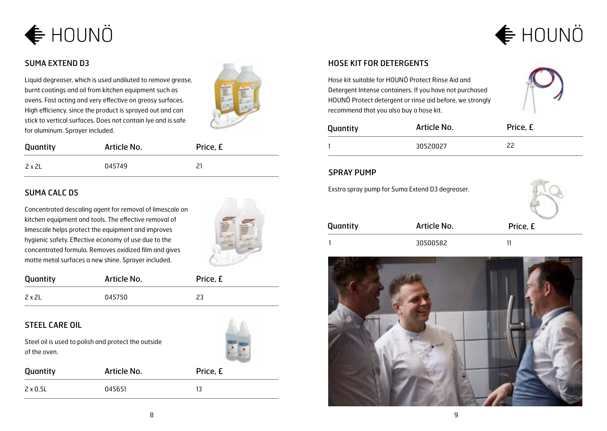



#### SUMA EXTEND D3

Liquid degreaser, which is used undiluted to remove grease, burnt coatings and oil from kitchen equipment such as ovens. Fast acting and very effective on greasy surfaces. High efficiency, since the product is sprayed out and can stick to vertical surfaces. Does not contain lye and is safe for aluminum. Sprayer included.



| Quantity | Article No. | Price, £ |
|----------|-------------|----------|
| 2 x 2L   | 045749      | ר כ      |

#### SUMA CALC D5

Concentrated descaling agent for removal of limescale on kitchen equipment and tools. The effective removal of limescale helps protect the equipment and improves hygienic safety. Effective economy of use due to the concentrated formula. Removes oxidized film and gives matte metal surfaces a new shine. Sprayer included.



| Quantity | Article No. | Price, £ |
|----------|-------------|----------|
| 2 x 2L   | 045750      | つつ       |

#### STEEL CARE OIL

Steel oil is used to polish and protect the outside of the oven.

| Quantity | Article No. | Price, £ |
|----------|-------------|----------|
| 2 x 0,5L | 045651      | 13       |

#### HOSE KIT FOR DETERGENTS

Hose kit suitable for HOUNÖ Protect Rinse Aid and Detergent Intense containers. If you have not purchased HOUNÖ Protect detergent or rinse aid before, we strongly recommend that you also buy a hose kit.



| Quantity | Article No. | Price, £ |
|----------|-------------|----------|
|          | 30520027    | 22       |

#### SPRAY PUMP

Exstra spray pump for Suma Extend D3 degreaser. Quantity **Article No.** Price, £ 1 30500582 11

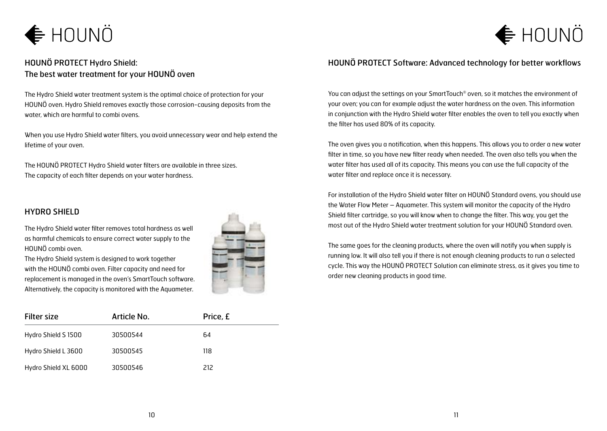## $\bigoplus$ HOUNÖ

#### HOUNÖ PROTECT Hydro Shield: The best water treatment for your HOUNÖ oven

The Hydro Shield water treatment system is the optimal choice of protection for your HOUNÖ oven. Hydro Shield removes exactly those corrosion-causing deposits from the water, which are harmful to combi ovens.

When you use Hydro Shield water filters, you avoid unnecessary wear and help extend the lifetime of your oven.

The HOUNÖ PROTECT Hydro Shield water filters are available in three sizes. The capacity of each filter depends on your water hardness.

#### HYDRO SHIELD

The Hydro Shield water filter removes total hardness as well as harmful chemicals to ensure correct water supply to the HOUNÖ combi oven.

The Hydro Shield system is designed to work together with the HOUNÖ combi oven. Filter capacity and need for replacement is managed in the oven's SmartTouch software. Alternatively, the capacity is monitored with the Aquameter.



| <b>Filter size</b>   | Article No. | Price, £ |  |
|----------------------|-------------|----------|--|
| Hydro Shield S 1500  | 30500544    | 64       |  |
| Hydro Shield L 3600  | 30500545    | 118      |  |
| Hydro Shield XL 6000 | 30500546    | 212      |  |

#### HOUNÖ PROTECT Software: Advanced technology for better workflows

 $\bigoplus$ HOUNÖ

You can adjust the settings on your SmartTouch® oven, so it matches the environment of your oven; you can for example adjust the water hardness on the oven. This information in conjunction with the Hydro Shield water filter enables the oven to tell you exactly when the filter has used 80% of its capacity.

The oven gives you a notification, when this happens. This allows you to order a new water filter in time, so you have new filter ready when needed. The oven also tells you when the water filter has used all of its capacity. This means you can use the full capacity of the water filter and replace once it is necessary.

For installation of the Hydro Shield water filter on HOUNÖ Standard ovens, you should use the Water Flow Meter – Aquameter. This system will monitor the capacity of the Hydro Shield filter cartridge, so you will know when to change the filter. This way, you get the most out of the Hydro Shield water treatment solution for your HOUNÖ Standard oven.

The same goes for the cleaning products, where the oven will notify you when supply is running low. It will also tell you if there is not enough cleaning products to run a selected cycle. This way the HOUNÖ PROTECT Solution can eliminate stress, as it gives you time to order new cleaning products in good time.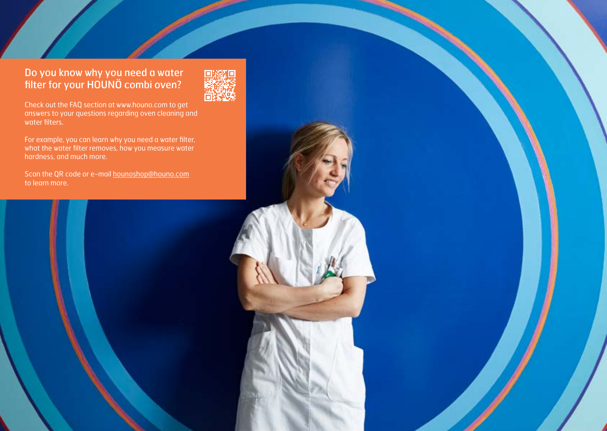#### Do you know why you need a water filter for your HOUNÖ combi oven?

Check out the FAQ section at www.houno.com to get answers to your questions regarding oven cleaning and water filters.

For example, you can learn why you need a water filter, what the water filter removes, how you measure water hardness, and much more.

Scan the QR code or e-mail hounoshop@houno.com



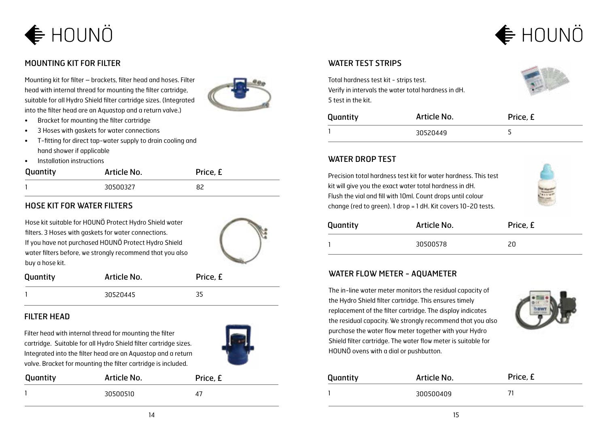

#### MOUNTING KIT FOR FILTER

Mounting kit for filter – brackets, filter head and hoses. Filter head with internal thread for mounting the filter cartridge, suitable for all Hydro Shield filter cartridge sizes. (Integrated into the filter head are an Aquastop and a return valve.)

- Bracket for mounting the filter cartridge
- 3 Hoses with gaskets for water connections
- T-fitting for direct tap-water supply to drain cooling and hand shower if applicable
- Installation instructions

| Quantity | Article No. | Price, £ |
|----------|-------------|----------|
|          | 30500327    |          |

#### HOSE KIT FOR WATER FILTERS

Hose kit suitable for HOUNÖ Protect Hydro Shield water filters. 3 Hoses with gaskets for water connections. If you have not purchased HOUNÖ Protect Hydro Shield water filters before, we strongly recommend that you also buy a hose kit.



| Quantity | Article No. | Price, £ |
|----------|-------------|----------|
|          | 30520445    | 35       |

#### FILTER HEAD

Filter head with internal thread for mounting the filter cartridge. Suitable for all Hydro Shield filter cartridge sizes. Integrated into the filter head are an Aquastop and a return valve. Bracket for mounting the filter cartridge is included.



| Quantity | Article No. | Price, £ |
|----------|-------------|----------|
|          | 30500510    | 47       |



#### WATER TEST STRIPS

Total hardness test kit - strips test. Verify in intervals the water total hardness in dH. 5 test in the kit.



| Quantity | Article No. | Price, £ |
|----------|-------------|----------|
|          | 30520449    |          |

#### WATER DROP TEST

Precision total hardness test kit for water hardness. This test kit will give you the exact water total hardness in dH. Flush the vial and fill with 10ml. Count drops until colour change (red to green). 1 drop = 1 dH. Kit covers 10-20 tests.



| Quantity | Article No. | Price, £ |
|----------|-------------|----------|
|          | 30500578    |          |

#### WATER FLOW METER - AQUAMETER

The in-line water meter monitors the residual capacity of the Hydro Shield filter cartridge. This ensures timely replacement of the filter cartridge. The display indicates the residual capacity. We strongly recommend that you also purchase the water flow meter together with your Hydro Shield filter cartridge. The water flow meter is suitable for HOUNÖ ovens with a dial or pushbutton.



| Quantity | Article No. | Price, £ |
|----------|-------------|----------|
|          | 300500409   |          |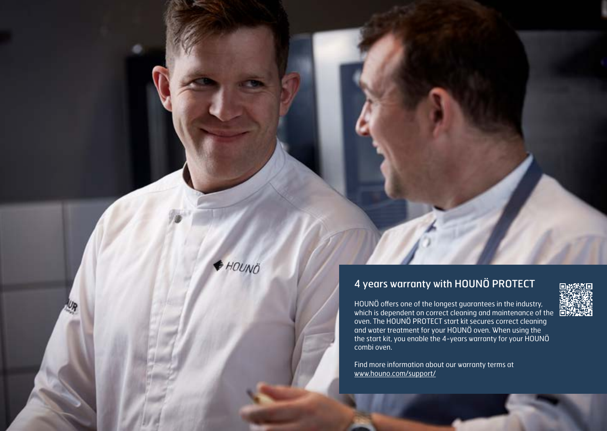### 4 years warranty with HOUNÖ PROTECT

HOUNÖ offers one of the longest guarantees in the industry, which is dependent on correct cleaning and maintenance of the oven. The HOUNÖ PROTECT start kit secures correct cleaning and water treatment for your HOUNÖ oven. When using the the start kit, you enable the 4-years warranty for your HOUNÖ combi oven.

Find more information about our warranty terms at [www.houno.com/support/](http://www.houno.com/support/technical-support/4-year-warranty.aspx)

16 17

+ HOUNO

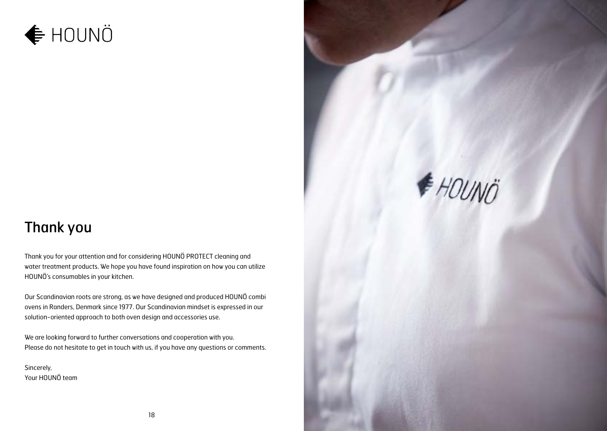## **← HOUNÖ**

### Thank you

Thank you for your attention and for considering HOUNÖ PROTECT cleaning and water treatment products. We hope you have found inspiration on how you can utilize HOUNÖ's consumables in your kitchen.

Our Scandinavian roots are strong, as we have designed and produced HOUNÖ combi ovens in Randers, Denmark since 1977. Our Scandinavian mindset is expressed in our solution-oriented approach to both oven design and accessories use.

We are looking forward to further conversations and cooperation with you. Please do not hesitate to get in touch with us, if you have any questions or comments.

Sincerely, Your HOUNÖ team